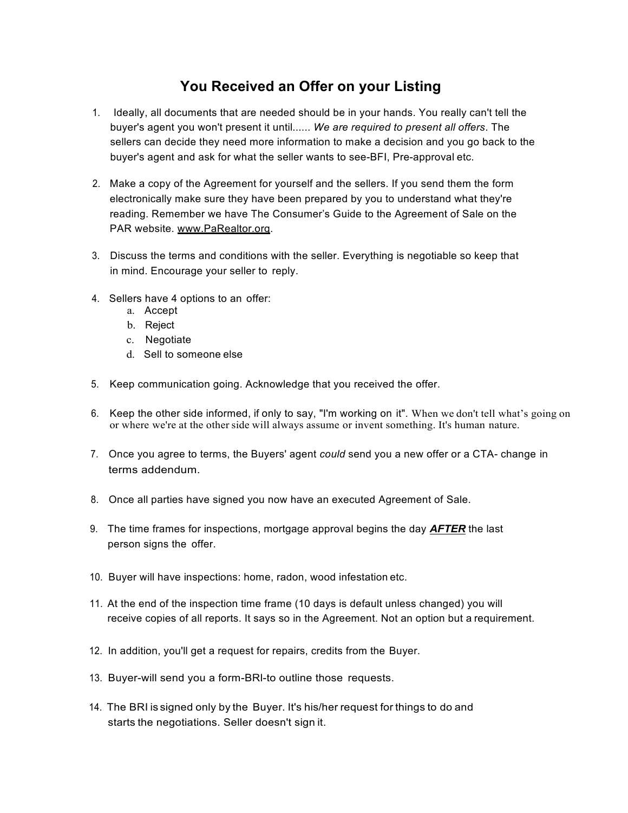## **You Received an Offer on your Listing**

- 1. Ideally, all documents that are needed should be in your hands. You really can't tell the buyer's agent you won't present it until...... *We are required to present all offers*. The sellers can decide they need more information to make a decision and you go back to the buyer's agent and ask for what the seller wants to see-BFI, Pre-approval etc.
- 2. Make a copy of the Agreement for yourself and the sellers. If you send them the form electronically make sure they have been prepared by you to understand what they're reading. Remember we have The Consumer's Guide to the Agreement of Sale on the PAR website. www.PaRealtor.org.
- 3. Discuss the terms and conditions with the seller. Everything is negotiable so keep that in mind. Encourage your seller to reply.
- 4. Sellers have 4 options to an offer:
	- a. Accept
	- b. Reject
	- c. Negotiate
	- d. Sell to someone else
- 5. Keep communication going. Acknowledge that you received the offer.
- 6. Keep the other side informed, if only to say, "I'm working on it". When we don't tell what's going on or where we're at the other side will always assume or invent something. It's human nature.
- 7. Once you agree to terms, the Buyers' agent *could* send you a new offer or a CTA- change in terms addendum.
- 8. Once all parties have signed you now have an executed Agreement of Sale.
- 9. The time frames for inspections, mortgage approval begins the day *AFTER* the last person signs the offer.
- 10. Buyer will have inspections: home, radon, wood infestation etc.
- 11. At the end of the inspection time frame (10 days is default unless changed) you will receive copies of all reports. It says so in the Agreement. Not an option but a requirement.
- 12. In addition, you'll get a request for repairs, credits from the Buyer.
- 13. Buyer-will send you a form-BRl-to outline those requests.
- 14. The BRI is signed only by the Buyer. It's his/her request for things to do and starts the negotiations. Seller doesn't sign it.